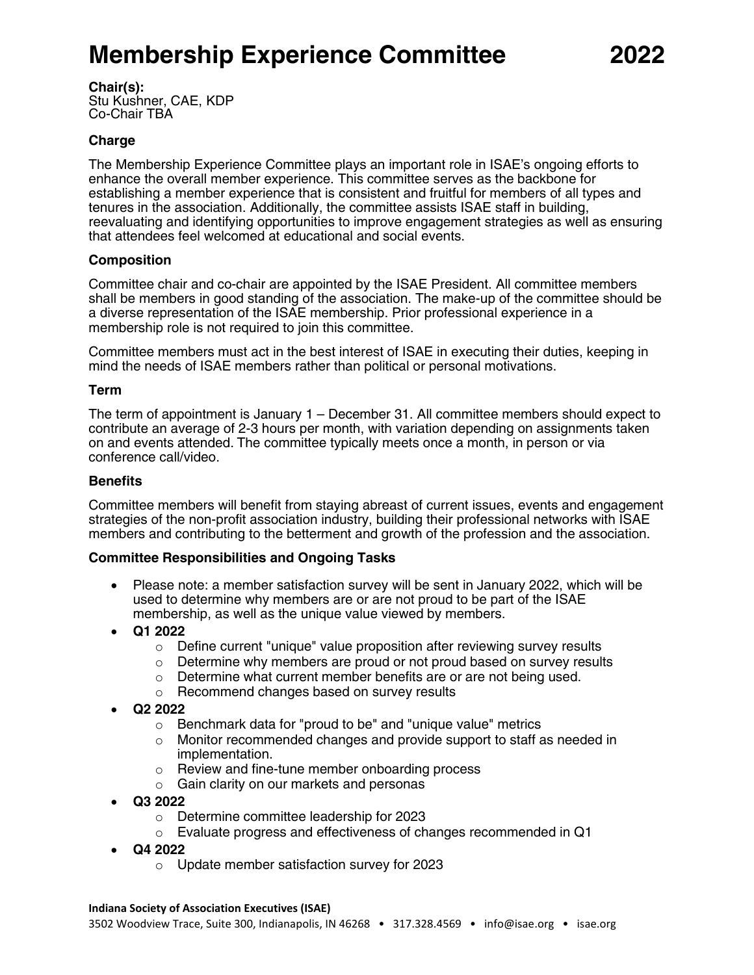# **Membership Experience Committee 2022**

**Chair(s):** 

Stu Kushner, CAE, KDP Co-Chair TBA

## **Charge**

The Membership Experience Committee plays an important role in ISAE's ongoing efforts to enhance the overall member experience. This committee serves as the backbone for establishing a member experience that is consistent and fruitful for members of all types and tenures in the association. Additionally, the committee assists ISAE staff in building, reevaluating and identifying opportunities to improve engagement strategies as well as ensuring that attendees feel welcomed at educational and social events.

## **Composition**

Committee chair and co-chair are appointed by the ISAE President. All committee members shall be members in good standing of the association. The make-up of the committee should be a diverse representation of the ISAE membership. Prior professional experience in a membership role is not required to join this committee.

Committee members must act in the best interest of ISAE in executing their duties, keeping in mind the needs of ISAE members rather than political or personal motivations.

### **Term**

The term of appointment is January 1 – December 31. All committee members should expect to contribute an average of 2-3 hours per month, with variation depending on assignments taken on and events attended. The committee typically meets once a month, in person or via conference call/video.

### **Benefits**

Committee members will benefit from staying abreast of current issues, events and engagement strategies of the non-profit association industry, building their professional networks with ISAE members and contributing to the betterment and growth of the profession and the association.

### **Committee Responsibilities and Ongoing Tasks**

- Please note: a member satisfaction survey will be sent in January 2022, which will be used to determine why members are or are not proud to be part of the ISAE membership, as well as the unique value viewed by members.
- **Q1 2022**
	- $\circ$  Define current "unique" value proposition after reviewing survey results
	- o Determine why members are proud or not proud based on survey results
	- o Determine what current member benefits are or are not being used.
	- o Recommend changes based on survey results
- **Q2 2022**
	- o Benchmark data for "proud to be" and "unique value" metrics
	- $\circ$  Monitor recommended changes and provide support to staff as needed in implementation.
	- o Review and fine-tune member onboarding process
	- o Gain clarity on our markets and personas
- **Q3 2022**
	- o Determine committee leadership for 2023
	- o Evaluate progress and effectiveness of changes recommended in Q1
- **Q4 2022**
	- o Update member satisfaction survey for 2023

#### **Indiana Society of Association Executives (ISAE)**